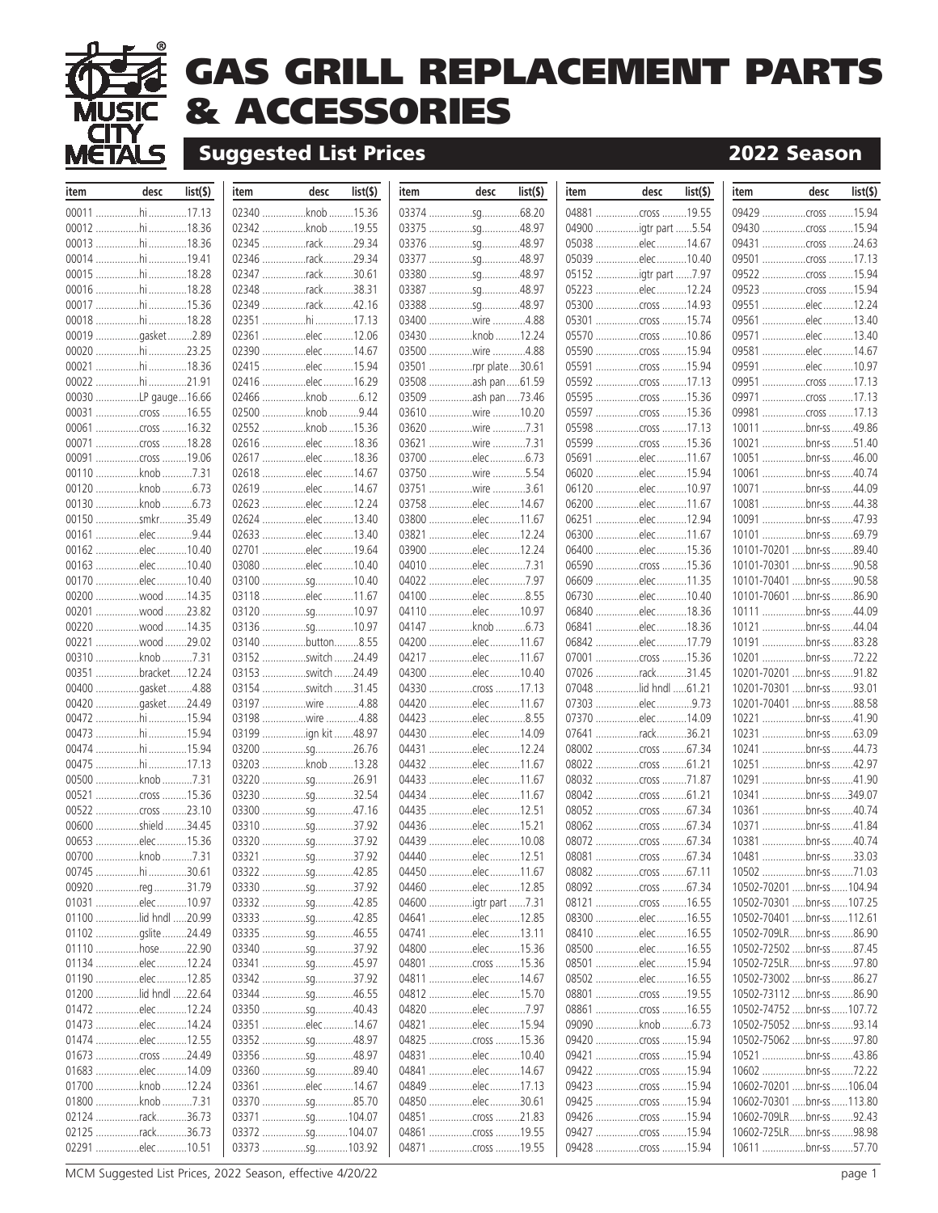

## **GAS GRILL REPLACEMENT PARTS & ACCESSORIES**

## **Suggested List Prices 2022 Season**

| item | desc                                    | list(5) | item        | desc                                   | list(5) | item  | desc                               | list(5) | item | desc                                   | list(5) | item                                                     | desc         | list(  |
|------|-----------------------------------------|---------|-------------|----------------------------------------|---------|-------|------------------------------------|---------|------|----------------------------------------|---------|----------------------------------------------------------|--------------|--------|
|      | 00011 hi 17.13                          |         | 02340 knob. |                                        | 15.36   |       | 03374 sq68.20                      |         |      | 04881 cross  19.55                     |         |                                                          |              |        |
|      | 00012 hi 18.36                          |         |             | 02342 knob 19.55                       |         |       | 03375 sg48.97                      |         |      | 04900 igtr part 5.54                   |         |                                                          |              |        |
|      | 00013 hi 18.36                          |         |             | 02345 rack29.34                        |         |       | 03376 sq48.97                      |         |      | 05038 elec14.67                        |         | 09431 cross 24.63                                        |              |        |
|      | 00014 hi 19.41                          |         |             | 02346 rack29.34                        |         |       |                                    |         |      | 05039 elec 10.40                       |         |                                                          |              |        |
|      | 00015 hi 18.28                          |         |             | 02347 rack30.61                        |         |       | 03380 sq48.97                      |         |      |                                        |         | 09522 cross 15.94                                        |              |        |
|      | 00016 hi 18.28                          |         |             | 02348 rack38.31                        |         |       |                                    |         |      | 05223 elec12.24                        |         | 09523 cross 15.94                                        |              |        |
|      | 00017 hi 15.36                          |         |             | 02349 rack42.16                        |         |       | 03388 sq48.97                      |         |      | 05300 cross 14.93                      |         | 09551 elec12.24                                          |              |        |
|      | 00018 hi 18.28                          |         |             | 02351 hi 17.13                         |         |       | 03400 wire 4.88                    |         |      | 05301 cross 15.74                      |         | 09561 elec13.40                                          |              |        |
|      | 00019 gasket2.89                        |         |             | 02361 elec12.06                        |         |       | 03430 knob 12.24                   |         |      | 05570 cross 10.86                      |         | 09571 elec13.40                                          |              |        |
|      | 00020 hi 23.25                          |         |             | 02390 elec14.67                        |         |       | 03500 wire 4.88                    |         |      | 05590 cross 15.94                      |         | 09581 elec14.67                                          |              |        |
|      | 00021 hi 18.36                          |         |             | 02415 elec 15.94                       |         |       | 03501 rpr plate 30.61              |         |      | 05591 cross 15.94                      |         | 09591 elec10.97                                          |              |        |
|      | 00022 hi 21.91                          |         |             | 02416 elec 16.29                       |         |       | 03508 ash pan61.59                 |         |      | 05592 cross 17.13                      |         | 09951 cross 17.13                                        |              |        |
|      | 00030 LP gauge  16.66                   |         |             | 02466 knob 6.12                        |         |       | 03509 ash pan 73.46                |         |      | 05595 cross 15.36                      |         | 09971 cross 17.13                                        |              |        |
|      | 00031 cross 16.55                       |         |             | 02500 knob 9.44<br>02552 knob 15.36    |         |       | 03610 wire 10.20                   |         |      | 05597 cross 15.36<br>05598 cross 17.13 |         | 09981 cross 17.13                                        |              |        |
|      | 00061 cross 16.32<br>00071 cross 18.28  |         |             | 02616 elec18.36                        |         |       | 03620 wire 7.31<br>03621 wire 7.31 |         |      | 05599 cross 15.36                      |         | 10011 bnr-ss 49.86<br>10021 bnr-ss 51.40                 |              |        |
|      | 00091 cross 19.06                       |         |             | 02617 elec18.36                        |         |       |                                    |         |      | 05691 elec11.67                        |         | 10051 bnr-ss 46.00                                       |              |        |
|      | 00110 knob 7.31                         |         |             | 02618 elec14.67                        |         |       | 03750 wire 5.54                    |         |      | 06020 elec15.94                        |         | 10061 bnr-ss 40.74                                       |              |        |
|      | 00120 knob 6.73                         |         |             | 02619 elec14.67                        |         |       | 03751 wire                         | .3.61   |      | 06120 elec 10.97                       |         | 10071 bnr-ss 44.09                                       |              |        |
|      | 00130 knob 6.73                         |         |             | 02623 elec 12.24                       |         |       | 03758 elec14.67                    |         |      | 06200 elec11.67                        |         | 10081 bnr-ss 44.38                                       |              |        |
|      | 00150 smkr35.49                         |         |             | 02624 elec 13.40                       |         |       | 03800 elec11.67                    |         |      | 06251 elec12.94                        |         | 10091 bnr-ss 47.93                                       |              |        |
|      | 00161 elec9.44                          |         |             | 02633 elec13.40                        |         |       | 03821 elec12.24                    |         |      | 06300 elec11.67                        |         | 10101 bnr-ss 69.79                                       |              |        |
|      | 00162 elec10.40                         |         |             | 02701 elec19.64                        |         |       | 03900 elec12.24                    |         |      | 06400 elec15.36                        |         | 10101-70201  bnr-ss                                      |              | .89.40 |
|      | 00163 elec10.40                         |         |             | 03080 elec 10.40                       |         |       | 04010 elec7.31                     |         |      | 06590 cross 15.36                      |         | 10101-70301 bnr-ss 90.58                                 |              |        |
|      | 00170 elec10.40                         |         |             | 03100 sg10.40                          |         |       | 04022 elec7.97                     |         |      | 06609 elec11.35                        |         | 10101-70401 bnr-ss 90.58                                 |              |        |
|      | 00200 wood 14.35                        |         |             | 03118 elec11.67                        |         |       | 04100 elec                         | .8.55   |      | 06730 elec10.40                        |         | 10101-70601 bnr-ss 86.90                                 |              |        |
|      | 00201 wood 23.82                        |         |             | 03120 sq10.97                          |         |       | 04110 elec10.97                    |         |      | 06840 elec18.36                        |         | 10111 bnr-ss 44.09                                       |              |        |
|      | 00220 wood 14.35                        |         |             | 03136 sg10.97                          |         |       | 04147 knob                         | .6.73   |      | 06841 elec18.36                        |         | 10121 bnr-ss 44.04                                       |              |        |
|      | 00221 wood 29.02                        |         |             | 03140 button8.55                       |         |       | 04200 elec11.67                    |         |      | 06842 elec17.79                        |         | 10191 bnr-ss 83.28                                       |              |        |
|      | 00310 knob 7.31                         |         |             | 03152 switch 24.49                     |         |       | 04217 elec11.67                    |         |      | 07001 cross 15.36                      |         | 10201 bnr-ss 72.22                                       |              |        |
|      | 00351 bracket12.24                      |         |             | 03153 switch 24.49                     |         |       | 04300 elec10.40                    |         |      | 07026 rack31.45                        |         | 10201-70201 bnr-ss 91.82                                 |              |        |
|      | 00400 gasket4.88                        |         |             | 03154 switch 31.45                     |         |       |                                    |         |      | 07048 lid hndl 61.21                   |         | 10201-70301 bnr-ss 93.01                                 |              |        |
|      | 00420 gasket24.49                       |         |             | 03197 wire 4.88                        |         |       | 04420 elec11.67                    |         |      | 07303 elec9.73                         |         | 10201-70401  bnr-ss 88.58                                |              |        |
|      | 00472 hi 15.94<br>00473 hi 15.94        |         |             | 03198 wire 4.88<br>03199 ign kit 48.97 |         |       | 04423 elec<br>04430 elec14.09      | .8.55   |      | 07370 elec14.09<br>07641 rack36.21     |         | 10221 bnr-ss 41.90<br>10231 bnr-ss 63.09                 |              |        |
|      | 00474 hi 15.94                          |         |             | 03200 sg26.76                          |         |       | 04431 elec12.24                    |         |      | 08002 cross 67.34                      |         | 10241 bnr-ss 44.73                                       |              |        |
|      | 00475 hi 17.13                          |         |             | 03203 knob 13.28                       |         |       | 04432 elec11.67                    |         |      | 08022 cross 61.21                      |         | 10251 bnr-ss 42.97                                       |              |        |
|      | 00500 knob 7.31                         |         |             | 03220 sg26.91                          |         |       | 04433 elec11.67                    |         |      | 08032 cross 71.87                      |         | 10291                                                    | bnr-ss 41.90 |        |
|      | 00521 cross 15.36                       |         |             | 03230 sq32.54                          |         |       | 04434 elec11.67                    |         |      | 08042 cross 61.21                      |         | 10341 bnr-ss 349.07                                      |              |        |
|      | 00522 cross 23.10                       |         |             | 03300 sq47.16                          |         |       | 04435 elec12.51                    |         |      | 08052 cross 67.34                      |         | 10361 bnr-ss 40.74                                       |              |        |
|      | 00600 shield                            | 34.45   |             | 03310 sg37.92                          |         |       | 04436 elec15.21                    |         |      |                                        |         | 10371                                                    | bnr-ss41.84  |        |
|      | 00653 elec15.36                         |         |             | 03320 sg37.92                          |         |       | 04439 elec10.08                    |         |      | 08072 cross 67.34                      |         | 10381 bnr-ss 40.74                                       |              |        |
|      | 00700 knob                              | .7.31   |             | 03321 sg37.92                          |         | 04440 | elec12.51                          |         |      | 08081 cross                            | .67.34  | 10481 bnr-ss                                             |              | .33.03 |
|      | 00745 hi 30.61                          |         |             | 03322 sg42.85                          |         |       | 04450 elec11.67                    |         |      | 08082 cross 67.11                      |         | 10502 bnr-ss 71.03                                       |              |        |
|      | 00920 reg31.79                          |         |             | 03330 sq37.92                          |         |       | 04460 elec12.85                    |         |      | 08092 cross 67.34                      |         | 10502-70201  bnr-ss  104.94                              |              |        |
|      | 01031 elec10.97                         |         |             | 03332 sg42.85                          |         |       | 04600 igtr part 7.31               |         |      | 08121 cross 16.55                      |         | 10502-70301 bnr-ss  107.25                               |              |        |
|      | 01100 lid hndl 20.99                    |         |             | 03333 sg42.85                          |         |       | 04641 elec12.85                    |         |      | 08300 elec16.55                        |         | 10502-70401  bnr-ss  112.61                              |              |        |
|      | 01102 gslite 24.49                      |         |             | 03335 sq46.55                          |         |       | 04741 elec13.11                    |         |      | 08410 elec16.55                        |         | 10502-709LRbnr-ss86.90                                   |              |        |
|      | 01110 hose 22.90                        |         |             | 03340 sq37.92                          |         |       | 04800 elec15.36                    |         |      | 08500 elec16.55                        |         | 10502-72502 bnr-ss 87.45                                 |              |        |
|      | 01134 elec12.24                         |         |             | 03341 sg45.97                          |         |       |                                    |         |      | 08501 elec15.94                        |         | 10502-725LRbnr-ss97.80                                   |              |        |
|      | 01190 elec12.85                         |         |             | 03342 sq37.92<br>03344 sg46.55         |         |       | 04811 elec14.67<br>04812 elec15.70 |         |      | 08502 elec 16.55                       |         | 10502-73002 bnr-ss 86.27                                 |              |        |
|      | 01200 lid hndl 22.64<br>01472 elec12.24 |         |             | 03350 sg40.43                          |         |       | 04820 elec7.97                     |         |      | 08801 cross 19.55<br>08861 cross 16.55 |         | 10502-73112  bnr-ss 86.90<br>10502-74752  bnr-ss  107.72 |              |        |
|      | 01473 elec14.24                         |         |             | 03351 elec14.67                        |         |       | 04821 elec15.94                    |         |      | 09090 knob 6.73                        |         | 10502-75052  bnr-ss  93.14                               |              |        |
|      | 01474 elec12.55                         |         |             | 03352 sq48.97                          |         |       | 04825 cross 15.36                  |         |      | 09420 cross 15.94                      |         | 10502-75062 bnr-ss 97.80                                 |              |        |
|      | 01673 cross 24.49                       |         |             | 03356 sg48.97                          |         |       | 04831 elec10.40                    |         |      | 09421 cross 15.94                      |         | 10521 bnr-ss 43.86                                       |              |        |
|      | 01683 elec14.09                         |         |             | 03360 sg89.40                          |         |       | 04841 elec14.67                    |         |      | 09422 cross 15.94                      |         | 10602 bnr-ss 72.22                                       |              |        |
|      | 01700 knob 12.24                        |         |             | 03361 elec14.67                        |         |       | 04849 elec17.13                    |         |      | 09423 cross 15.94                      |         | 10602-70201  bnr-ss  106.04                              |              |        |
|      | 01800 knob 7.31                         |         |             | 03370 sg85.70                          |         |       | 04850 elec30.61                    |         |      | 09425 cross 15.94                      |         | 10602-70301  bnr-ss  113.80                              |              |        |
|      | 02124 rack36.73                         |         |             | 03371 sg104.07                         |         |       | 04851 cross 21.83                  |         |      | 09426 cross 15.94                      |         | 10602-709LRbnr-ss92.43                                   |              |        |
|      | 02125 rack36.73                         |         |             | 03372 sg104.07                         |         |       | 04861 cross 19.55                  |         |      | 09427 cross 15.94                      |         | 10602-725LRbnr-ss98.98                                   |              |        |
|      | 02291 elec10.51                         |         |             | 03373 sg103.92                         |         |       | 04871 cross 19.55                  |         |      |                                        |         | 10611 bnr-ss 57.70                                       |              |        |
|      |                                         |         |             |                                        |         |       |                                    |         |      |                                        |         |                                                          |              |        |

MCM Suggested List Prices, 2022 Season, effective 4/20/22 page 1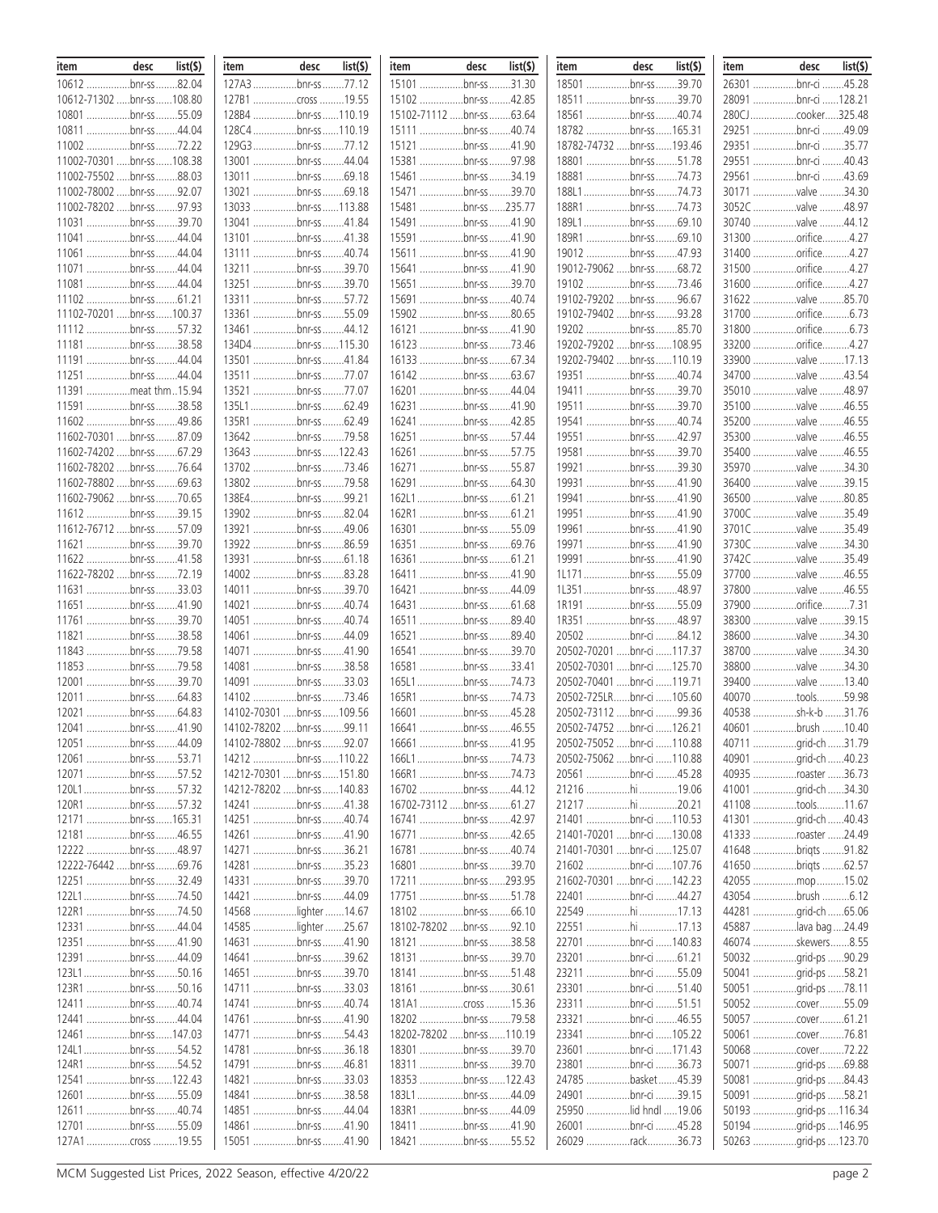| item                        | desc          | list(5) | item                        | desc     | $list($ \$ $)$ | item  | desc                        | list(5) | item                        | desc         | list(           | item  | desc                 | list(5) |
|-----------------------------|---------------|---------|-----------------------------|----------|----------------|-------|-----------------------------|---------|-----------------------------|--------------|-----------------|-------|----------------------|---------|
| 10612 bnr-ss 82.04          |               |         | 127A3 bnr-ss 77.12          |          |                | 15101 | .bnr-ss31.30                |         | 18501 bnr-ss 39.70          |              |                 | 26301 | .bnr-ci 45.28        |         |
| 10612-71302  bnr-ss  108.80 |               |         | 127B1 cross 19.55           |          |                | 15102 | .bnr-ss 42.85               |         | 18511                       |              | .bnr-ss39.70    | 28091 | .bnr-ci 128.21       |         |
| 10801                       | bnr-ss55.09   |         | 128B4 bnr-ss 110.19         |          |                |       | 15102-71112 bnr-ss          | .63.64  | 18561 bnr-ss 40.74          |              |                 |       | 280CJcooker325.48    |         |
| 10811 bnr-ss 44.04          |               |         | 128C4 bnr-ss 110.19         |          |                |       | 15111 bnr-ss 40.74          |         | 18782 bnr-ss 165.31         |              |                 |       | 29251 bnr-ci 49.09   |         |
| 11002                       | bnr-ss 72.22  |         | 129G3bnr-ss77.12            |          |                |       | 15121 bnr-ss 41.90          |         | 18782-74732  bnr-ss  193.46 |              |                 |       | 29351 bnr-ci 35.77   |         |
| 11002-70301  bnr-ss  108.38 |               |         | 13001 bnr-ss 44.04          |          |                |       |                             |         | 18801 bnr-ss51.78           |              |                 |       | 29551 bnr-ci 40.43   |         |
| 11002-75502 bnr-ss 88.03    |               |         | 13011 bnr-ss 69.18          |          |                |       | 15461 bnr-ss 34.19          |         | 18881 bnr-ss 74.73          |              |                 |       | 29561 bnr-ci 43.69   |         |
|                             |               |         | 13021 bnr-ss 69.18          |          |                |       | 15471 bnr-ss39.70           |         |                             | bnr-ss74.73  |                 |       | 30171 valve          | .34.30  |
| 11002-78002  bnr-ss 92.07   |               |         |                             |          |                |       |                             |         | 188L1                       |              |                 |       |                      |         |
| 11002-78202 bnr-ss 97.93    |               |         | 13033 bnr-ss 113.88         |          |                |       | 15481 bnr-ss 235.77         |         | 188R1 bnr-ss 74.73          |              |                 |       | 3052C valve          | .48.97  |
| 11031 bnr-ss 39.70          |               |         | 13041 bnr-ss 41.84          |          |                |       | 15491 bnr-ss 41.90          |         | 189L1bnr-ss69.10            |              |                 |       | 30740 valve 44.12    |         |
| 11041                       | bnr-ss 44.04  |         | 13101 bnr-ss 41.38          |          |                |       | 15591 bnr-ss 41.90          |         | 189R1 bnr-ss 69.10          |              |                 |       | 31300 orifice4.27    |         |
| 11061                       | bnr-ss 44.04  |         | 13111 bnr-ss 40.74          |          |                |       | 15611 bnr-ss 41.90          |         | 19012 bnr-ss 47.93          |              |                 |       | 31400 orifice4.27    |         |
| 11071                       | bnr-ss 44.04  |         | 13211 bnr-ss 39.70          |          |                |       | 15641 bnr-ss 41.90          |         | 19012-79062  bnr-ss   68.72 |              |                 |       | 31500 orifice4.27    |         |
| 11081                       | bnr-ss 44.04  |         | 13251 bnr-ss 39.70          |          |                |       | 15651 bnr-ss 39.70          |         | 19102 bnr-ss 73.46          |              |                 |       | 31600 orifice4.27    |         |
| 11102 bnr-ss 61.21          |               |         | 13311 bnr-ss 57.72          |          |                |       | 15691 bnr-ss 40.74          |         | 19102-79202 bnr-ss 96.67    |              |                 |       | 31622 valve          | .85.70  |
| 11102-70201  bnr-ss  100.37 |               |         | 13361 bnr-ss 55.09          |          |                |       | 15902 bnr-ss 80.65          |         | 19102-79402  bnr-ss 93.28   |              |                 |       | 31700 orifice6.73    |         |
| 11112 bnr-ss 57.32          |               |         | 13461 bnr-ss 44.12          |          |                |       | 16121 bnr-ss 41.90          |         | 19202 bnr-ss85.70           |              |                 |       | 31800 orifice6.73    |         |
| 11181                       | bnr-ss38.58   |         | 134D4 bnr-ss  115.30        |          |                |       | 16123 bnr-ss 73.46          |         | 19202-79202  bnr-ss  108.95 |              |                 |       | 33200 orifice        | .4.27   |
|                             |               |         |                             |          |                |       |                             |         |                             |              |                 |       |                      |         |
| 11191                       | bnr-ss 44.04  |         | 13501 bnr-ss 41.84          |          |                |       | 16133 bnr-ss 67.34          |         | 19202-79402  bnr-ss  110.19 |              |                 |       | 33900 valve 17.13    |         |
| 11251 bnr-ss 44.04          |               |         | 13511 bnr-ss 77.07          |          |                |       |                             |         | 19351 bnr-ss 40.74          |              |                 |       | 34700 valve 43.54    |         |
| 11391                       | meat thm15.94 |         | 13521 bnr-ss 77.07          |          |                |       |                             |         | 19411 bnr-ss 39.70          |              |                 |       | 35010 valve 48.97    |         |
| 11591                       | bnr-ss38.58   |         | 135L1bnr-ss62.49            |          |                |       | 16231 bnr-ss 41.90          |         | 19511 bnr-ss 39.70          |              |                 |       | 35100 valve 46.55    |         |
| 11602                       | bnr-ss49.86   |         | 135R1 bnr-ss 62.49          |          |                |       | 16241 bnr-ss 42.85          |         | 19541 bnr-ss40.74           |              |                 |       | 35200 valve 46.55    |         |
| 11602-70301 bnr-ss 87.09    |               |         | 13642 bnr-ss 79.58          |          |                |       | 16251 bnr-ss 57.44          |         | 19551 bnr-ss 42.97          |              |                 |       | 35300 valve          | .46.55  |
| 11602-74202 bnr-ss 67.29    |               |         | 13643 bnr-ss  122.43        |          |                |       | 16261 bnr-ss 57.75          |         | 19581 bnr-ss 39.70          |              |                 |       | 35400 valve 46.55    |         |
| 11602-78202  bnr-ss  76.64  |               |         | 13702 bnr-ss 73.46          |          |                |       | 16271 bnr-ss 55.87          |         | 19921 bnr-ss 39.30          |              |                 |       | 35970 valve          | 34.30   |
| 11602-78802 bnr-ss 69.63    |               |         | 13802 bnr-ss 79.58          |          |                |       | 16291 bnr-ss 64.30          |         | 19931 bnr-ss 41.90          |              |                 |       | 36400 valve          | 39.15   |
| 11602-79062 bnr-ss 70.65    |               |         | 138E4bnr-ss99.21            |          |                |       | 162L1bnr-ss61.21            |         | 19941 bnr-ss 41.90          |              |                 |       | 36500 valve          | .80.85  |
|                             |               |         |                             |          |                |       |                             |         |                             |              |                 |       |                      |         |
| 11612 bnr-ss 39.15          |               |         | 13902 bnr-ss 82.04          |          |                |       | 162R1 bnr-ss 61.21          |         | 19951 bnr-ss 41.90          |              |                 |       | 3700C valve          | 35.49   |
| 11612-76712  bnr-ss  57.09  |               |         | 13921 bnr-ss 49.06          |          |                |       | 16301 bnr-ss 55.09          |         | 19961 bnr-ss41.90           |              |                 |       | 3701C valve          | .35.49  |
| 11621 bnr-ss 39.70          |               |         | 13922 bnr-ss 86.59          |          |                |       | 16351 bnr-ss 69.76          |         | 19971 bnr-ss 41.90          |              |                 |       | 3730C valve 34.30    |         |
| 11622 bnr-ss 41.58          |               |         | 13931 bnr-ss  61.18         |          |                |       | 16361 bnr-ss 61.21          |         | 19991 bnr-ss 41.90          |              |                 |       | 3742C valve          | 35.49   |
| 11622-78202  bnr-ss  72.19  |               |         | 14002 bnr-ss 83.28          |          |                |       | 16411 bnr-ss 41.90          |         | 1L171bnr-ss55.09            |              |                 |       | 37700 valve          | .46.55  |
| 11631 bnr-ss 33.03          |               |         | 14011 bnr-ss 39.70          |          |                |       | 16421 bnr-ss 44.09          |         | 1L351bnr-ss48.97            |              |                 |       | 37800 valve 46.55    |         |
| 11651 bnr-ss 41.90          |               |         | 14021 bnr-ss 40.74          |          |                |       | 16431 bnr-ss 61.68          |         | 1R191 bnr-ss 55.09          |              |                 |       | 37900 orifice7.31    |         |
| 11761                       | bnr-ss 39.70  |         | 14051 bnr-ss 40.74          |          |                |       | 16511 bnr-ss 89.40          |         | 1R351 bnr-ss 48.97          |              |                 |       | 38300 valve          | 39.15   |
| 11821                       | bnr-ss38.58   |         | 14061 bnr-ss 44.09          |          |                |       | 16521 bnr-ss 89.40          |         | 20502 bnr-ci 84.12          |              |                 |       | 38600 valve          | .34.30  |
| 11843 bnr-ss 79.58          |               |         | 14071 bnr-ss 41.90          |          |                |       | 16541 bnr-ss 39.70          |         | 20502-70201  bnr-ci  117.37 |              |                 |       | 38700 valve          | 34.30   |
| 11853 bnr-ss 79.58          |               |         | 14081 bnr-ss 38.58          |          |                |       | 16581 bnr-ss                | .33.41  | 20502-70301  bnr-ci  125.70 |              |                 |       | 38800 valve          | 34.30   |
|                             | bnr-ss39.70   |         | 14091 bnr-ss 33.03          |          |                |       | 165L1 bnr-ss 74.73          |         | 20502-70401  bnr-ci  119.71 |              |                 |       |                      |         |
| 12001                       |               |         |                             |          |                |       |                             |         |                             |              |                 |       | 39400 valve 13.40    |         |
| 12011 bnr-ss64.83           |               |         |                             |          |                |       |                             |         | 20502-725LRbnr-ci 105.60    |              |                 |       | 40070 tools          | .59.98  |
| 12021                       | bnr-ss 64.83  |         | 14102-70301  bnr-ss  109.56 |          |                |       | 16601 bnr-ss 45.28          |         | 20502-73112  bnr-ci  99.36  |              |                 |       | 40538 sh-k-b         | .31.76  |
| 12041 bnr-ss 41.90          |               |         | 14102-78202  bnr-ss 99.11   |          |                |       | 16641 bnr-ss 46.55          |         | 20502-74752  bnr-ci  126.21 |              |                 |       | 40601 brush 10.40    |         |
| 12051 bnr-ss.               |               | .44.09  | 14102-78802                 | bnr-ss . | .92.07         |       | 16661 bnr-ss 41.95          |         | 20502-75052  bnr-ci  110.88 |              |                 |       | 40711 grid-ch        | .31.79  |
| 12061 bnr-ss 53.71          |               |         | 14212 bnr-ss 110.22         |          |                |       | 166L1bnr-ss74.73            |         | 20502-75062  bnr-ci  110.88 |              |                 |       | 40901 grid-ch 40.23  |         |
| 12071 bnr-ss 57.52          |               |         | 14212-70301  bnr-ss  151.80 |          |                |       | 166R1 bnr-ss 74.73          |         | 20561 bnr-ci 45.28          |              |                 |       | 40935 roaster 36.73  |         |
| 120L1bnr-ss57.32            |               |         | 14212-78202  bnr-ss  140.83 |          |                |       | 16702 bnr-ss 44.12          |         | 21216 hi 19.06              |              |                 |       | 41001 grid-ch 34.30  |         |
| 120R1 bnr-ss 57.32          |               |         | 14241 bnr-ss 41.38          |          |                |       | 16702-73112 bnr-ss 61.27    |         | 21217 hi 20.21              |              |                 |       | 41108 tools11.67     |         |
| 12171 bnr-ss 165.31         |               |         | 14251 bnr-ss 40.74          |          |                |       | 16741 bnr-ss 42.97          |         | 21401 bnr-ci 110.53         |              |                 |       | 41301 grid-ch 40.43  |         |
| 12181 bnr-ss 46.55          |               |         | 14261 bnr-ss 41.90          |          |                |       | 16771 bnr-ss 42.65          |         | 21401-70201  bnr-ci  130.08 |              |                 |       | 41333 roaster 24.49  |         |
|                             |               |         |                             |          |                |       |                             |         |                             |              |                 |       |                      |         |
| 12222 bnr-ss 48.97          |               |         | 14271 bnr-ss 36.21          |          |                |       | 16781 bnr-ss 40.74          |         | 21401-70301  bnr-ci  125.07 |              |                 |       | 41648 briqts 91.82   |         |
| 12222-76442  bnr-ss  69.76  |               |         | 14281 bnr-ss 35.23          |          |                |       | 16801 bnr-ss 39.70          |         | 21602 bnr-ci 107.76         |              |                 |       | 41650 briqts 62.57   |         |
| 12251 bnr-ss 32.49          |               |         | 14331 bnr-ss 39.70          |          |                |       | 17211 bnr-ss293.95          |         | 21602-70301  bnr-ci  142.23 |              |                 |       | 42055 mop 15.02      |         |
| 122L1bnr-ss74.50            |               |         | 14421 bnr-ss 44.09          |          |                |       | 17751 bnr-ss 51.78          |         | 22401 bnr-ci 44.27          |              |                 |       | 43054 brush 6.12     |         |
| 122R1 bnr-ss 74.50          |               |         | 14568 lighter  14.67        |          |                |       | 18102 bnr-ss 66.10          |         | 22549 hi 17.13              |              |                 |       | 44281 grid-ch 65.06  |         |
| 12331 bnr-ss 44.04          |               |         | 14585 lighter 25.67         |          |                |       | 18102-78202  bnr-ss 92.10   |         | 22551 hi 17.13              |              |                 |       | 45887 lava bag 24.49 |         |
| 12351 bnr-ss 41.90          |               |         | 14631 bnr-ss 41.90          |          |                |       | 18121 bnr-ss 38.58          |         | 22701 bnr-ci 140.83         |              |                 |       | 46074 skewers8.55    |         |
| 12391 bnr-ss 44.09          |               |         | 14641 bnr-ss 39.62          |          |                |       | 18131 bnr-ss 39.70          |         | 23201 bnr-ci 61.21          |              |                 |       | 50032 grid-ps 90.29  |         |
| 123L1bnr-ss50.16            |               |         | 14651 bnr-ss 39.70          |          |                |       | 18141 bnr-ss 51.48          |         | 23211 bnr-ci 55.09          |              |                 |       | 50041 grid-ps 58.21  |         |
| 123R1 bnr-ss 50.16          |               |         | 14711 bnr-ss 33.03          |          |                |       | 18161 bnr-ss 30.61          |         | 23301 bnr-ci 51.40          |              |                 |       | 50051 grid-ps 78.11  |         |
|                             |               |         |                             |          |                |       |                             |         | 23311 bnr-ci 51.51          |              |                 |       |                      |         |
| 12411 bnr-ss 40.74          |               |         | 14741 bnr-ss 40.74          |          |                |       | 181A1 cross 15.36           |         |                             |              |                 |       | 50052 cover55.09     |         |
| 12441 bnr-ss 44.04          |               |         | 14761 bnr-ss 41.90          |          |                |       | 18202 bnr-ss 79.58          |         | 23321 bnr-ci 46.55          |              |                 |       | 50057 cover61.21     |         |
| 12461 bnr-ss  147.03        |               |         | 14771 bnr-ss 54.43          |          |                |       | 18202-78202  bnr-ss  110.19 |         | 23341 bnr-ci 105.22         |              |                 |       | 50061 cover76.81     |         |
| 124L1bnr-ss54.52            |               |         | 14781 bnr-ss 36.18          |          |                |       | 18301 bnr-ss 39.70          |         | 23601 bnr-ci 171.43         |              |                 |       | 50068 cover72.22     |         |
| 124R1 bnr-ss 54.52          |               |         | 14791 bnr-ss 46.81          |          |                |       | 18311 bnr-ss 39.70          |         | 23801                       | bnr-ci 36.73 |                 |       | 50071 grid-ps 69.88  |         |
| 12541 bnr-ss  122.43        |               |         | 14821 bnr-ss 33.03          |          |                |       | 18353 bnr-ss 122.43         |         | 24785 basket 45.39          |              |                 |       | 50081 grid-ps 84.43  |         |
| 12601 bnr-ss 55.09          |               |         | 14841 bnr-ss 38.58          |          |                |       | 183L1bnr-ss44.09            |         | 24901 bnr-ci 39.15          |              |                 |       | 50091 grid-ps 58.21  |         |
| 12611 bnr-ss 40.74          |               |         | 14851 bnr-ss 44.04          |          |                |       | 183R1 bnr-ss 44.09          |         | 25950                       |              | lid hndl  19.06 | 50193 | grid-ps 116.34       |         |
| 12701 bnr-ss 55.09          |               |         | 14861 bnr-ss 41.90          |          |                |       | 18411 bnr-ss 41.90          |         | 26001                       | bnr-ci 45.28 |                 | 50194 | grid-ps  146.95      |         |
| 127A1 cross 19.55           |               |         | 15051 bnr-ss 41.90          |          |                |       | 18421 bnr-ss 55.52          |         | 26029 rack36.73             |              |                 |       | 50263 grid-ps 123.70 |         |
|                             |               |         |                             |          |                |       |                             |         |                             |              |                 |       |                      |         |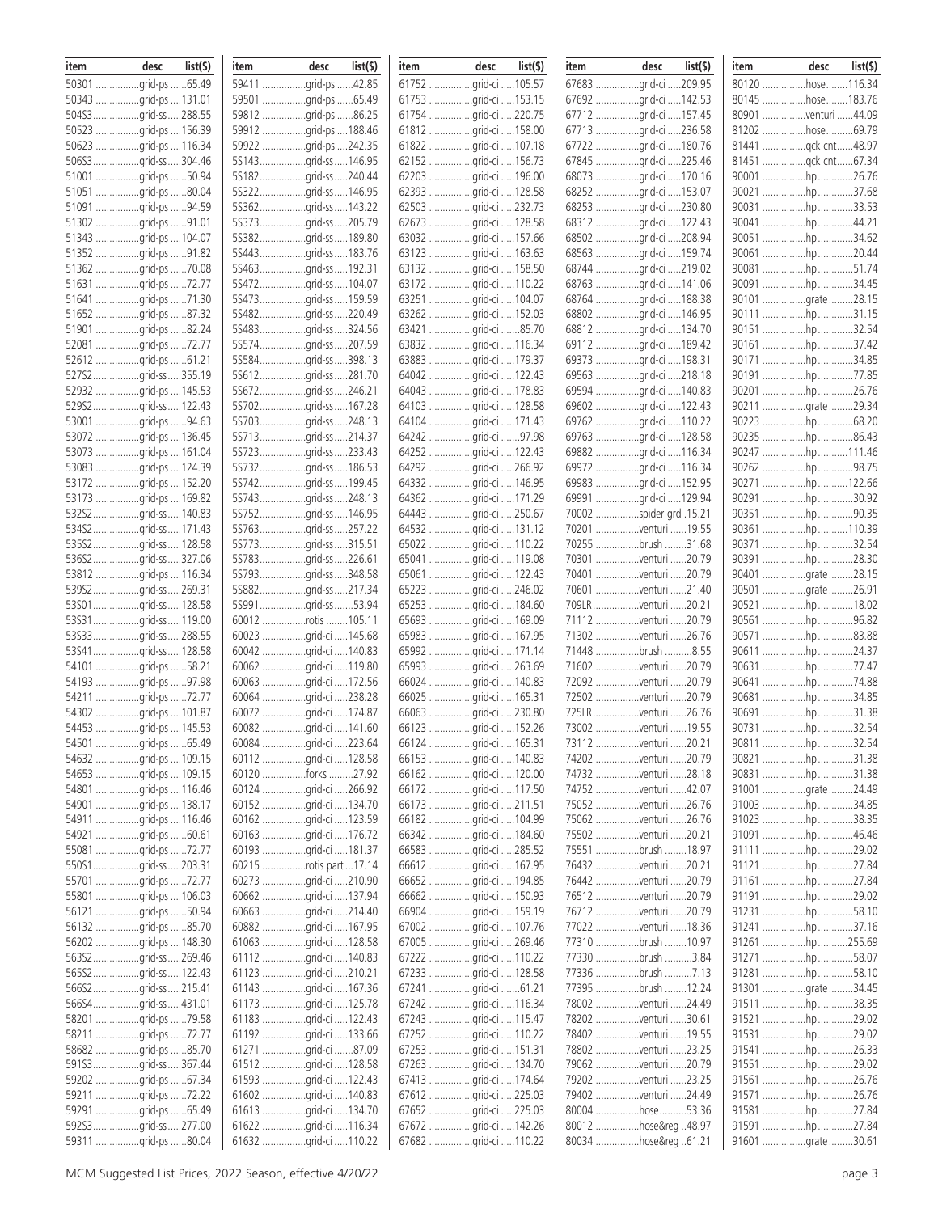| item | desc                 | list( | item | desc                    | list(\$) | item | desc                  | list(\$) | item | desc                    | list(\$) | item | desc                | list(\$) |
|------|----------------------|-------|------|-------------------------|----------|------|-----------------------|----------|------|-------------------------|----------|------|---------------------|----------|
|      | 50301 grid-ps 65.49  |       |      | 59411 grid-ps 42.85     |          |      | 61752 grid-ci 105.57  |          |      | 67683 grid-ci 209.95    |          |      | 80120 hose  116.34  |          |
|      | 50343 grid-ps 131.01 |       |      | 59501 grid-ps 65.49     |          |      | 61753 grid-ci 153.15  |          |      | 67692 grid-ci 142.53    |          |      | 80145 hose  183.76  |          |
|      | 504S3grid-ss288.55   |       |      | 59812 grid-ps 86.25     |          |      | 61754 grid-ci 220.75  |          |      | 67712 grid-ci 157.45    |          |      | 80901 venturi 44.09 |          |
|      | 50523 grid-ps 156.39 |       |      | 59912 grid-ps  188.46   |          |      | 61812 grid-ci 158.00  |          |      | 67713 grid-ci 236.58    |          |      | 81202 hose69.79     |          |
|      | 50623 grid-ps 116.34 |       |      | 59922 grid-ps 242.35    |          |      | 61822 grid-ci 107.18  |          |      | 67722 grid-ci 180.76    |          |      | 81441 qck cnt48.97  |          |
|      | 506S3grid-ss304.46   |       |      | 5S143grid-ss146.95      |          |      | 62152 grid-ci 156.73  |          |      | 67845 grid-ci 225.46    |          |      | 81451 qck cnt67.34  |          |
|      |                      |       |      |                         |          |      |                       |          |      |                         |          |      |                     |          |
|      | 51001 grid-ps 50.94  |       |      | 5S182grid-ss240.44      |          |      | 62203 grid-ci 196.00  |          |      | 68073 grid-ci 170.16    |          |      | 90001 hp 26.76      |          |
|      | 51051 grid-ps 80.04  |       |      | 5S322grid-ss146.95      |          |      | 62393 grid-ci 128.58  |          |      | 68252 grid-ci 153.07    |          |      | 90021 hp 37.68      |          |
|      | 51091 grid-ps 94.59  |       |      | 5S362grid-ss143.22      |          |      | 62503 grid-ci 232.73  |          |      | 68253 grid-ci 230.80    |          |      | 90031 hp 33.53      |          |
|      | 51302 grid-ps 91.01  |       |      | 5S373grid-ss205.79      |          |      | 62673 grid-ci 128.58  |          |      | 68312 grid-ci 122.43    |          |      | 90041 hp44.21       |          |
|      | 51343 grid-ps 104.07 |       |      | 55382qrid-ss189.80      |          |      | 63032 grid-ci 157.66  |          |      | 68502 grid-ci 208.94    |          |      | 90051 hp 34.62      |          |
|      | 51352 grid-ps 91.82  |       |      | 5S443grid-ss183.76      |          |      | 63123 grid-ci 163.63  |          |      | 68563 grid-ci 159.74    |          |      | 90061 hp 20.44      |          |
|      | 51362 grid-ps 70.08  |       |      | 5S463grid-ss192.31      |          |      | 63132 grid-ci 158.50  |          |      | 68744 grid-ci 219.02    |          |      | 90081 hp 51.74      |          |
|      | 51631 grid-ps 72.77  |       |      | 5S472grid-ss104.07      |          |      | 63172 grid-ci 110.22  |          |      | 68763 grid-ci 141.06    |          |      | 90091 hp 34.45      |          |
|      | 51641 grid-ps 71.30  |       |      | 5S473grid-ss159.59      |          |      | 63251 grid-ci 104.07  |          |      | 68764 grid-ci 188.38    |          |      | 90101 grate 28.15   |          |
|      | 51652 grid-ps 87.32  |       |      | 5S482grid-ss220.49      |          |      | 63262 grid-ci 152.03  |          |      | 68802 grid-ci 146.95    |          |      | 90111 hp31.15       |          |
|      | 51901 grid-ps 82.24  |       |      | 5S483grid-ss324.56      |          |      | 63421 grid-ci 85.70   |          |      | 68812 grid-ci 134.70    |          |      | 90151 hp32.54       |          |
|      | 52081 grid-ps 72.77  |       |      | 5S574grid-ss207.59      |          |      | 63832 grid-ci 116.34  |          |      | 69112 grid-ci 189.42    |          |      | 90161 hp 37.42      |          |
|      | 52612 grid-ps 61.21  |       |      | 5S584grid-ss398.13      |          |      | 63883 grid-ci 179.37  |          |      | 69373 grid-ci 198.31    |          |      | 90171 hp34.85       |          |
|      |                      |       |      |                         |          |      |                       |          |      |                         |          |      |                     |          |
|      | 527S2grid-ss355.19   |       |      | 5S612grid-ss281.70      |          |      | 64042 grid-ci 122.43  |          |      | 69563 grid-ci 218.18    |          |      | 90191 hp 77.85      |          |
|      | 52932 grid-ps 145.53 |       |      | 5S672grid-ss246.21      |          |      | 64043 grid-ci 178.83  |          |      | 69594 grid-ci 140.83    |          |      | 90201 hp 26.76      |          |
|      | 529S2grid-ss122.43   |       |      | 5S702grid-ss167.28      |          |      | 64103 grid-ci 128.58  |          |      | 69602 grid-ci 122.43    |          |      | 90211 grate 29.34   |          |
|      | 53001 grid-ps 94.63  |       |      | 5S703grid-ss248.13      |          |      | 64104 grid-ci 171.43  |          |      | 69762 grid-ci 110.22    |          |      | 90223 hp 68.20      |          |
|      | 53072 grid-ps 136.45 |       |      | 5S713grid-ss214.37      |          |      | 64242 grid-ci 97.98   |          |      | 69763 grid-ci 128.58    |          |      | 90235 hp 86.43      |          |
|      | 53073 grid-ps 161.04 |       |      | 5S723grid-ss233.43      |          |      | 64252 grid-ci 122.43  |          |      | 69882 grid-ci 116.34    |          |      | 90247 hp111.46      |          |
|      | 53083 grid-ps 124.39 |       |      | 5S732grid-ss186.53      |          |      | 64292 grid-ci 266.92  |          |      | 69972 grid-ci 116.34    |          |      | 90262 hp 98.75      |          |
|      | 53172 grid-ps 152.20 |       |      | 5S742grid-ss199.45      |          |      | 64332 grid-ci 146.95  |          |      | 69983 grid-ci 152.95    |          |      | 90271 hp 122.66     |          |
|      | 53173 grid-ps 169.82 |       |      | 5S743grid-ss248.13      |          |      | 64362 grid-ci 171.29  |          |      | 69991 grid-ci 129.94    |          |      | 90291 hp 30.92      |          |
|      | 532S2grid-ss140.83   |       |      | 5S752grid-ss146.95      |          |      | 64443 grid-ci 250.67  |          |      | 70002 spider grd .15.21 |          |      | 90351 hp 90.35      |          |
|      | 534S2grid-ss171.43   |       |      | 5S763grid-ss257.22      |          |      | 64532 grid-ci 131.12  |          |      | 70201 venturi 19.55     |          |      | 90361 hp 110.39     |          |
|      | 53552grid-ss128.58   |       |      | 5S773grid-ss315.51      |          |      | 65022 grid-ci 110.22  |          |      | 70255 brush 31.68       |          |      |                     |          |
|      |                      |       |      |                         |          |      |                       |          |      |                         |          |      | 90371 hp 32.54      |          |
|      | 536S2grid-ss327.06   |       |      | 5S783grid-ss226.61      |          |      | 65041 grid-ci 119.08  |          |      | 70301 venturi 20.79     |          |      | 90391 hp 28.30      |          |
|      | 53812 grid-ps 116.34 |       |      | 5S793grid-ss348.58      |          |      | 65061 grid-ci 122.43  |          |      | 70401 venturi 20.79     |          |      | 90401 grate 28.15   |          |
|      | 539S2grid-ss269.31   |       |      | 55882grid-ss217.34      |          |      | 65223 grid-ci 246.02  |          |      | 70601 venturi 21.40     |          |      | 90501 grate 26.91   |          |
|      | 53S01grid-ss128.58   |       |      | 55991grid-ss53.94       |          |      | 65253 grid-ci  184.60 |          |      | 709LRventuri 20.21      |          |      | 90521 hp18.02       |          |
|      | 53S31grid-ss119.00   |       |      | 60012 rotis 105.11      |          |      | 65693 grid-ci 169.09  |          |      | 71112 venturi 20.79     |          |      | 90561 hp 96.82      |          |
|      | 53S33grid-ss288.55   |       |      | 60023 grid-ci 145.68    |          |      | 65983 grid-ci 167.95  |          |      | 71302 venturi 26.76     |          |      | 90571 hp 83.88      |          |
|      | 53S41grid-ss128.58   |       |      | 60042 grid-ci 140.83    |          |      | 65992 grid-ci 171.14  |          |      | 71448 brush 8.55        |          |      | 90611 hp 24.37      |          |
|      | 54101 grid-ps 58.21  |       |      | 60062 grid-ci 119.80    |          |      | 65993 grid-ci 263.69  |          |      | 71602 venturi 20.79     |          |      | 90631 hp 77.47      |          |
|      | 54193 grid-ps 97.98  |       |      | 60063 grid-ci 172.56    |          |      | 66024 grid-ci 140.83  |          |      | 72092 venturi 20.79     |          |      | 90641 hp 74.88      |          |
|      | 54211 grid-ps 72.77  |       |      | 60064 grid-ci 238.28    |          |      | 66025 grid-ci 165.31  |          |      | 72502 venturi 20.79     |          |      | 90681 hp 34.85      |          |
|      | 54302 grid-ps 101.87 |       |      | 60072 grid-ci 174.87    |          |      | 66063 grid-ci 230.80  |          |      | 725LRventuri 26.76      |          |      | 90691 hp 31.38      |          |
|      | 54453 grid-ps 145.53 |       |      | 60082 grid-ci 141.60    |          |      | 66123 grid-ci 152.26  |          |      | 73002 venturi 19.55     |          |      | 90731 hp 32.54      |          |
|      | 54501 grid-ps 65.49  |       |      | 60084 grid-ci 223.64    |          |      | 66124 grid-ci 165.31  |          |      | 73112 venturi 20.21     |          |      | 90811 hp            | .32.54   |
|      | 54632 grid-ps 109.15 |       |      | 60112 grid-ci 128.58    |          |      | 66153 grid-ci 140.83  |          |      | 74202 venturi 20.79     |          |      | 90821 hp 31.38      |          |
|      |                      |       |      |                         |          |      |                       |          |      |                         |          |      |                     |          |
|      |                      |       |      | 60120 forks 27.92       |          |      | 66162 qrid-ci 120.00  |          |      | 74732 venturi 28.18     |          |      | 90831 hp31.38       |          |
|      | 54801 grid-ps 116.46 |       |      | 60124 grid-ci 266.92    |          |      | 66172 grid-ci 117.50  |          |      | 74752 venturi 42.07     |          |      | 91001 grate 24.49   |          |
|      | 54901 grid-ps 138.17 |       |      | 60152 grid-ci 134.70    |          |      | 66173 grid-ci 211.51  |          |      | 75052 venturi 26.76     |          |      | 91003 hp 34.85      |          |
|      | 54911 grid-ps 116.46 |       |      | 60162 grid-ci 123.59    |          |      | 66182 grid-ci 104.99  |          |      | 75062 venturi 26.76     |          |      | 91023 hp 38.35      |          |
|      | 54921 grid-ps 60.61  |       |      | 60163 grid-ci 176.72    |          |      | 66342 grid-ci 184.60  |          |      | 75502 venturi 20.21     |          |      | 91091 hp46.46       |          |
|      | 55081 grid-ps 72.77  |       |      | 60193 grid-ci 181.37    |          |      | 66583 grid-ci 285.52  |          |      | 75551 brush 18.97       |          |      | 91111 hp29.02       |          |
|      | 550S1grid-ss203.31   |       |      | 60215 rotis part  17.14 |          |      | 66612 grid-ci 167.95  |          |      | 76432 venturi 20.21     |          |      | 91121 hp 27.84      |          |
|      | 55701 grid-ps 72.77  |       |      | 60273 grid-ci 210.90    |          |      | 66652 grid-ci 194.85  |          |      | 76442 venturi 20.79     |          |      | 91161 hp 27.84      |          |
|      | 55801 grid-ps 106.03 |       |      | 60662 grid-ci 137.94    |          |      | 66662 grid-ci 150.93  |          |      | 76512 venturi 20.79     |          |      | 91191 hp29.02       |          |
|      | 56121 grid-ps 50.94  |       |      | 60663 grid-ci 214.40    |          |      | 66904 qrid-ci 159.19  |          |      | 76712 venturi 20.79     |          |      | 91231 hp58.10       |          |
|      | 56132 grid-ps 85.70  |       |      | 60882 grid-ci 167.95    |          |      | 67002 grid-ci 107.76  |          |      | 77022 venturi 18.36     |          |      | 91241 hp37.16       |          |
|      | 56202 grid-ps 148.30 |       |      | 61063 grid-ci 128.58    |          |      | 67005 grid-ci 269.46  |          |      | 77310 brush 10.97       |          |      | 91261 hp 255.69     |          |
|      | 563S2grid-ss269.46   |       |      | 61112 grid-ci 140.83    |          |      | 67222 grid-ci 110.22  |          |      | 77330 brush 3.84        |          |      | 91271 hp58.07       |          |
|      | 565S2grid-ss122.43   |       |      | 61123 grid-ci 210.21    |          |      | 67233 grid-ci 128.58  |          |      | 77336 brush 7.13        |          |      | 91281 hp58.10       |          |
|      | 566S2grid-ss215.41   |       |      | 61143 grid-ci 167.36    |          |      |                       |          |      | 77395 brush 12.24       |          |      |                     |          |
|      |                      |       |      |                         |          |      | 67241 grid-ci 61.21   |          |      |                         |          |      | 91301 grate 34.45   |          |
|      | 56654grid-ss431.01   |       |      | 61173 grid-ci 125.78    |          |      | 67242 grid-ci 116.34  |          |      | 78002 venturi 24.49     |          |      | 91511 hp38.35       |          |
|      | 58201 grid-ps 79.58  |       |      | 61183 grid-ci 122.43    |          |      | 67243 grid-ci 115.47  |          |      | 78202 venturi 30.61     |          |      | 91521 hp29.02       |          |
|      | 58211 grid-ps 72.77  |       |      | 61192 grid-ci 133.66    |          |      | 67252 grid-ci 110.22  |          |      | 78402 venturi 19.55     |          |      | 91531 hp29.02       |          |
|      | 58682 grid-ps 85.70  |       |      | 61271 grid-ci 87.09     |          |      | 67253 grid-ci 151.31  |          |      | 78802 venturi 23.25     |          |      | 91541 hp26.33       |          |
|      | 591S3grid-ss367.44   |       |      | 61512 grid-ci 128.58    |          |      | 67263 grid-ci 134.70  |          |      | 79062 venturi 20.79     |          |      | 91551 hp29.02       |          |
|      | 59202 grid-ps 67.34  |       |      | 61593 grid-ci 122.43    |          |      | 67413 grid-ci 174.64  |          |      | 79202 venturi 23.25     |          |      | 91561 hp 26.76      |          |
|      | 59211 grid-ps 72.22  |       |      | 61602 grid-ci 140.83    |          |      | 67612 grid-ci 225.03  |          |      | 79402 venturi 24.49     |          |      | 91571 hp 26.76      |          |
|      | 59291 grid-ps 65.49  |       |      | 61613 grid-ci 134.70    |          |      | 67652 grid-ci 225.03  |          |      | 80004 hose53.36         |          |      | 91581 hp27.84       |          |
|      | 592S3grid-ss277.00   |       |      | 61622 grid-ci 116.34    |          |      | 67672 grid-ci 142.26  |          |      | 80012 hose® 48.97       |          |      | 91591 hp 27.84      |          |
|      | 59311 grid-ps 80.04  |       |      | 61632 grid-ci 110.22    |          |      | 67682 grid-ci 110.22  |          |      | 80034 hose® 61.21       |          |      | 91601 grate 30.61   |          |
|      |                      |       |      |                         |          |      |                       |          |      |                         |          |      |                     |          |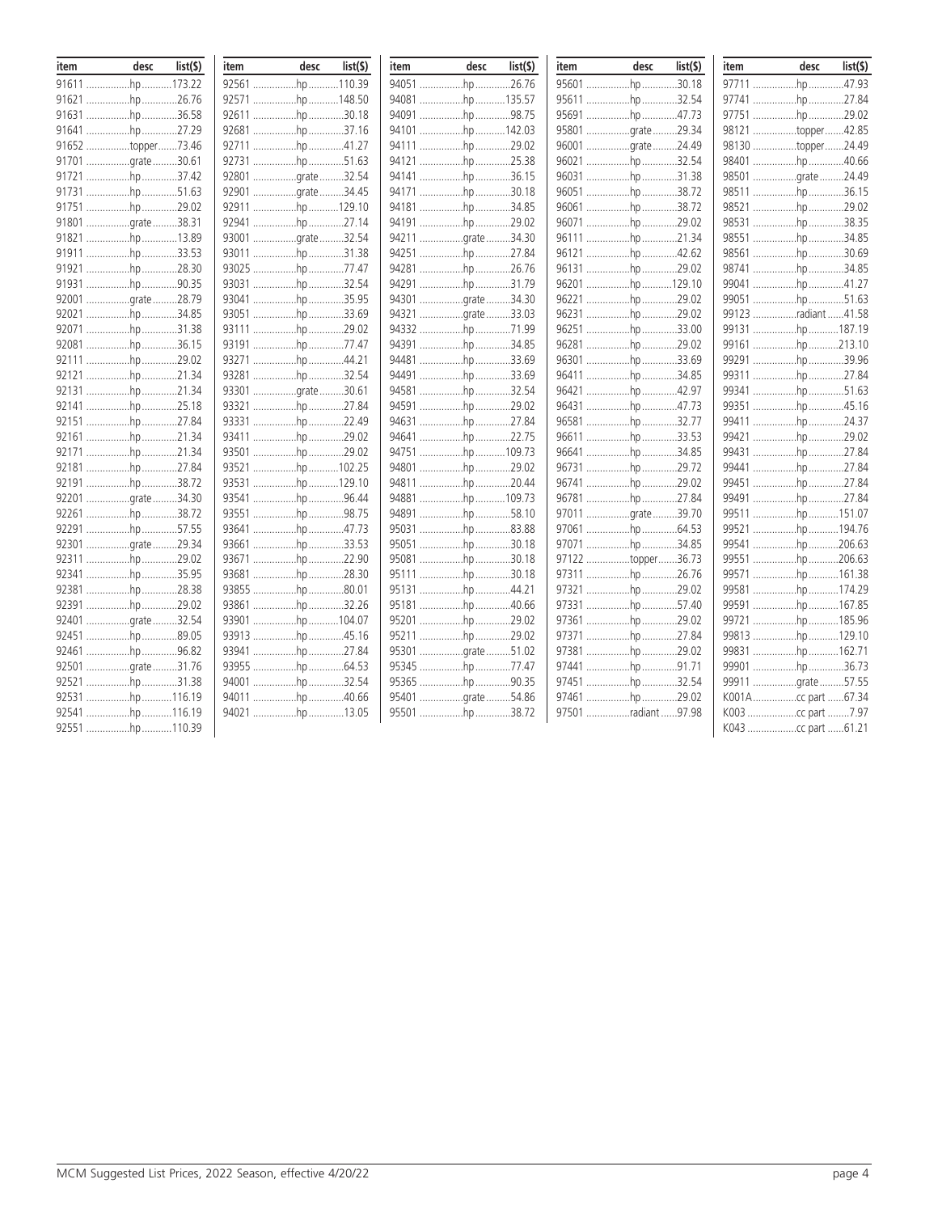| item | desc              | list(5) | item | desc             | list(5) | item | desc              | list(\$) | item | desc                | list(\$) | item | desc                | list(S) |
|------|-------------------|---------|------|------------------|---------|------|-------------------|----------|------|---------------------|----------|------|---------------------|---------|
|      | 91611 hp 173.22   |         |      | 92561 hp 110.39  |         |      | 94051 hp 26.76    |          |      | 95601 hp30.18       |          |      | 97711 hp 47.93      |         |
|      | 91621 hp 26.76    |         |      | 92571 hp148.50   |         |      | 94081 hp 135.57   |          |      | 95611 hp 32.54      |          |      | 97741 hp 27.84      |         |
|      | 91631 hp 36.58    |         |      | 92611 hp30.18    |         |      | 94091 hp98.75     |          |      | 95691 hp 47.73      |          |      | 97751 hp 29.02      |         |
|      | 91641 hp 27.29    |         |      | 92681 hp 37.16   |         |      | 94101 hp142.03    |          |      | 95801 qrate 29.34   |          |      | 98121 topper42.85   |         |
|      | 91652 topper73.46 |         |      | 92711 hp 41.27   |         |      | 94111 hp 29.02    |          |      | 96001 grate 24.49   |          |      | 98130 topper24.49   |         |
|      | 91701 grate 30.61 |         |      | 92731 hp 51.63   |         |      | 94121 hp25.38     |          |      | 96021 hp 32.54      |          |      | 98401 hp 40.66      |         |
|      | 91721 hp 37.42    |         |      | 92801 grate32.54 |         |      | 94141 hp36.15     |          |      | 96031 hp 31.38      |          |      | 98501 grate24.49    |         |
|      | 91731 hp 51.63    |         |      | 92901 grate34.45 |         |      | 94171 hp30.18     |          |      | 96051 hp            | 38.72    |      | 98511 hp 36.15      |         |
|      | 91751 hp 29.02    |         |      | 92911 hp 129.10  |         |      | 94181 hp 34.85    |          |      | 96061 hp 38.72      |          |      | 98521 hp 29.02      |         |
|      | 91801 qrate38.31  |         |      | 92941 hp 27.14   |         |      | 94191 hp 29.02    |          |      | 96071 hp 29.02      |          |      | 98531 hp 38.35      |         |
|      | 91821 hp 13.89    |         |      | 93001 grate32.54 |         |      | 94211 grate 34.30 |          |      | 96111 hp21.34       |          |      | 98551 hp 34.85      |         |
|      | 91911 hp33.53     |         |      | 93011 hp 31.38   |         |      | 94251 hp 27.84    |          |      | 96121 hp 42.62      |          |      | 98561 hp 30.69      |         |
|      | 91921 hp 28.30    |         |      | 93025 hp 77.47   |         |      | 94281 hp 26.76    |          |      | 96131 hp 29.02      |          |      | 98741 hp 34.85      |         |
|      | 91931 hp 90.35    |         |      | 93031 hp 32.54   |         |      | 94291 hp31.79     |          |      | 96201 hp 129.10     |          |      | 99041 hp41.27       |         |
|      | 92001 grate 28.79 |         |      | 93041 hp35.95    |         |      | 94301 grate 34.30 |          |      | 96221 hp 29.02      |          |      | 99051 hp 51.63      |         |
|      | 92021 hp 34.85    |         |      | 93051 hp 33.69   |         |      | 94321 grate 33.03 |          |      | 96231 hp 29.02      |          |      | 99123 radiant 41.58 |         |
|      | 92071 hp 31.38    |         |      | 93111 hp29.02    |         |      | 94332 hp 71.99    |          |      | 96251 hp 33.00      |          |      | 99131 hp 187.19     |         |
|      | 92081 hp 36.15    |         |      | 93191 hp 77.47   |         |      | 94391 hp34.85     |          |      | 96281 hp 29.02      |          |      | 99161 hp 213.10     |         |
|      | 92111 hp 29.02    |         |      | 93271 hp44.21    |         |      | 94481 hp33.69     |          |      | 96301 hp 33.69      |          |      | 99291 hp 39.96      |         |
|      | 92121 hp 21.34    |         |      | 93281 hp 32.54   |         |      | 94491 hp          | .33.69   |      | 96411 hp 34.85      |          |      | 99311 hp 27.84      |         |
|      | 92131 hp 21.34    |         |      | 93301 grate30.61 |         |      | 94581 hp 32.54    |          |      | 96421 hp 42.97      |          |      | 99341 hp 51.63      |         |
|      | 92141 hp 25.18    |         |      | 93321 hp 27.84   |         |      | 94591 hp 29.02    |          |      | 96431 hp 47.73      |          |      | 99351 hp 45.16      |         |
|      | 92151 hp 27.84    |         |      | 93331 hp 22.49   |         |      | 94631 hp 27.84    |          |      | 96581 hp 32.77      |          |      | 99411 hp 24.37      |         |
|      | 92161 hp 21.34    |         |      | 93411 hp29.02    |         |      | 94641 hp 22.75    |          |      | 96611 hp 33.53      |          |      | 99421 hp 29.02      |         |
|      | 92171 hp 21.34    |         |      | 93501 hp29.02    |         |      | 94751 hp109.73    |          |      | 96641 hp 34.85      |          |      | 99431 hp 27.84      |         |
|      | 92181 hp 27.84    |         |      | 93521 hp 102.25  |         |      | 94801 hp 29.02    |          |      | 96731 hp 29.72      |          |      | 99441 hp 27.84      |         |
|      | 92191 hp 38.72    |         |      | 93531 hp 129.10  |         |      | 94811 hp 20.44    |          |      | 96741 hp 29.02      |          |      | 99451 hp 27.84      |         |
|      | 92201 grate 34.30 |         |      | 93541 hp 96.44   |         |      | 94881 hp109.73    |          |      | 96781 hp 27.84      |          |      | 99491 hp 27.84      |         |
|      | 92261 hp 38.72    |         |      | 93551 hp98.75    |         |      | 94891 hp58.10     |          |      | 97011 qrate 39.70   |          |      | 99511 hp 151.07     |         |
|      | 92291 hp 57.55    |         |      | 93641 hp 47.73   |         |      | 95031 hp83.88     |          |      | 97061 hp 64.53      |          |      | 99521 hp 194.76     |         |
|      | 92301 grate 29.34 |         |      | 93661 hp 33.53   |         |      | 95051 hp30.18     |          |      | 97071 hp 34.85      |          |      | 99541 hp 206.63     |         |
|      | 92311 hp 29.02    |         |      | 93671 hp22.90    |         |      | 95081 hp 30.18    |          |      | 97122 topper36.73   |          |      | 99551 hp 206.63     |         |
|      | 92341 hp 35.95    |         |      | 93681 hp 28.30   |         |      | 95111 hp30.18     |          |      | 97311 hp 26.76      |          |      | 99571 hp 161.38     |         |
|      | 92381 hp 28.38    |         |      | 93855 hp80.01    |         |      | 95131 hp44.21     |          |      | 97321 hp 29.02      |          |      | 99581 hp 174.29     |         |
|      | 92391 hp 29.02    |         |      | 93861 hp 32.26   |         |      | 95181 hp 40.66    |          |      | 97331 hp 57.40      |          |      | 99591 hp 167.85     |         |
|      | 92401 grate 32.54 |         |      | 93901 hp 104.07  |         |      | 95201 hp 29.02    |          |      | 97361 hp 29.02      |          |      | 99721 hp 185.96     |         |
|      | 92451 hp 89.05    |         |      | 93913 hp 45.16   |         |      | 95211 hp 29.02    |          |      | 97371 hp 27.84      |          |      | 99813 hp 129.10     |         |
|      | 92461 hp 96.82    |         |      | 93941 hp 27.84   |         |      | 95301 grate 51.02 |          |      | 97381 hp 29.02      |          |      | 99831 hp 162.71     |         |
|      | 92501 grate31.76  |         |      | 93955 hp 64.53   |         |      | 95345 hp77.47     |          |      | 97441 hp 91.71      |          |      | 99901 hp 36.73      |         |
|      | 92521 hp 31.38    |         |      | 94001 hp 32.54   |         |      | 95365 hp 90.35    |          |      | 97451 hp 32.54      |          |      | 99911 grate 57.55   |         |
|      | 92531 hp 116.19   |         |      | 94011 hp 40.66   |         |      | 95401 grate 54.86 |          |      | 97461 hp 29.02      |          |      |                     |         |
|      | 92541 hp 116.19   |         |      | 94021 hp 13.05   |         |      | 95501 hp 38.72    |          |      | 97501 radiant 97.98 |          |      |                     |         |
|      | 92551 hp 110.39   |         |      |                  |         |      |                   |          |      |                     |          |      |                     |         |